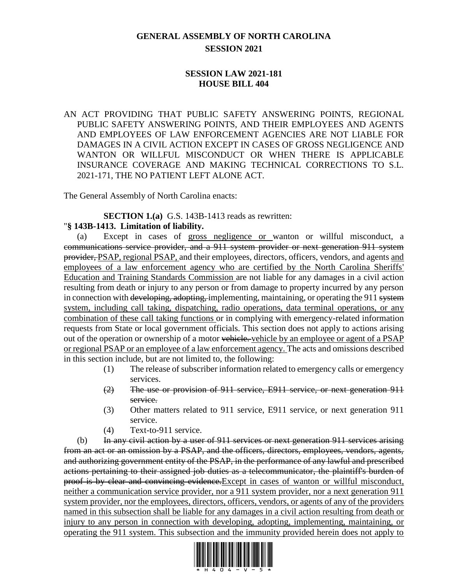## **GENERAL ASSEMBLY OF NORTH CAROLINA SESSION 2021**

## **SESSION LAW 2021-181 HOUSE BILL 404**

AN ACT PROVIDING THAT PUBLIC SAFETY ANSWERING POINTS, REGIONAL PUBLIC SAFETY ANSWERING POINTS, AND THEIR EMPLOYEES AND AGENTS AND EMPLOYEES OF LAW ENFORCEMENT AGENCIES ARE NOT LIABLE FOR DAMAGES IN A CIVIL ACTION EXCEPT IN CASES OF GROSS NEGLIGENCE AND WANTON OR WILLFUL MISCONDUCT OR WHEN THERE IS APPLICABLE INSURANCE COVERAGE AND MAKING TECHNICAL CORRECTIONS TO S.L. 2021-171, THE NO PATIENT LEFT ALONE ACT.

The General Assembly of North Carolina enacts:

**SECTION 1.(a)** G.S. 143B-1413 reads as rewritten:

## "**§ 143B-1413. Limitation of liability.**

(a) Except in cases of gross negligence or wanton or willful misconduct, a communications service provider, and a 911 system provider or next generation 911 system provider, PSAP, regional PSAP, and their employees, directors, officers, vendors, and agents and employees of a law enforcement agency who are certified by the North Carolina Sheriffs' Education and Training Standards Commission are not liable for any damages in a civil action resulting from death or injury to any person or from damage to property incurred by any person in connection with developing, adopting, implementing, maintaining, or operating the 911 system system, including call taking, dispatching, radio operations, data terminal operations, or any combination of these call taking functions or in complying with emergency-related information requests from State or local government officials. This section does not apply to actions arising out of the operation or ownership of a motor vehicle. vehicle by an employee or agent of a PSAP or regional PSAP or an employee of a law enforcement agency. The acts and omissions described in this section include, but are not limited to, the following:

- (1) The release of subscriber information related to emergency calls or emergency services.
- (2) The use or provision of 911 service, E911 service, or next generation 911 service.
- (3) Other matters related to 911 service, E911 service, or next generation 911 service.
- (4) Text-to-911 service.

(b) In any civil action by a user of  $911$  services or next generation  $911$  services arising from an act or an omission by a PSAP, and the officers, directors, employees, vendors, agents, and authorizing government entity of the PSAP, in the performance of any lawful and prescribed actions pertaining to their assigned job duties as a telecommunicator, the plaintiff's burden of proof is by clear and convincing evidence.Except in cases of wanton or willful misconduct, neither a communication service provider, nor a 911 system provider, nor a next generation 911 system provider, nor the employees, directors, officers, vendors, or agents of any of the providers named in this subsection shall be liable for any damages in a civil action resulting from death or injury to any person in connection with developing, adopting, implementing, maintaining, or operating the 911 system. This subsection and the immunity provided herein does not apply to

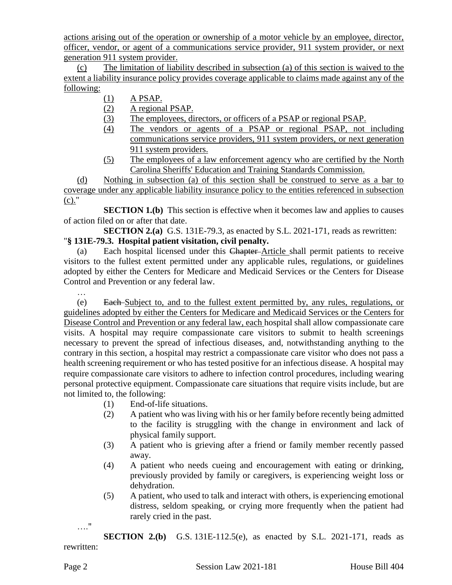actions arising out of the operation or ownership of a motor vehicle by an employee, director, officer, vendor, or agent of a communications service provider, 911 system provider, or next generation 911 system provider.

(c) The limitation of liability described in subsection (a) of this section is waived to the extent a liability insurance policy provides coverage applicable to claims made against any of the following:

- (1) A PSAP.
- (2) A regional PSAP.
- (3) The employees, directors, or officers of a PSAP or regional PSAP.
- (4) The vendors or agents of a PSAP or regional PSAP, not including communications service providers, 911 system providers, or next generation 911 system providers.
- (5) The employees of a law enforcement agency who are certified by the North Carolina Sheriffs' Education and Training Standards Commission.

(d) Nothing in subsection (a) of this section shall be construed to serve as a bar to coverage under any applicable liability insurance policy to the entities referenced in subsection (c)."

**SECTION 1.(b)** This section is effective when it becomes law and applies to causes of action filed on or after that date.

**SECTION 2.(a)** G.S. 131E-79.3, as enacted by S.L. 2021-171, reads as rewritten: "**§ 131E-79.3. Hospital patient visitation, civil penalty.**

(a) Each hospital licensed under this Chapter Article shall permit patients to receive visitors to the fullest extent permitted under any applicable rules, regulations, or guidelines adopted by either the Centers for Medicare and Medicaid Services or the Centers for Disease Control and Prevention or any federal law.

…

(e) Each Subject to, and to the fullest extent permitted by, any rules, regulations, or guidelines adopted by either the Centers for Medicare and Medicaid Services or the Centers for Disease Control and Prevention or any federal law, each hospital shall allow compassionate care visits. A hospital may require compassionate care visitors to submit to health screenings necessary to prevent the spread of infectious diseases, and, notwithstanding anything to the contrary in this section, a hospital may restrict a compassionate care visitor who does not pass a health screening requirement or who has tested positive for an infectious disease. A hospital may require compassionate care visitors to adhere to infection control procedures, including wearing personal protective equipment. Compassionate care situations that require visits include, but are not limited to, the following:

- (1) End-of-life situations.
- (2) A patient who was living with his or her family before recently being admitted to the facility is struggling with the change in environment and lack of physical family support.
- (3) A patient who is grieving after a friend or family member recently passed away.
- (4) A patient who needs cueing and encouragement with eating or drinking, previously provided by family or caregivers, is experiencing weight loss or dehydration.
- (5) A patient, who used to talk and interact with others, is experiencing emotional distress, seldom speaking, or crying more frequently when the patient had rarely cried in the past.

…."

**SECTION 2.(b)** G.S. 131E-112.5(e), as enacted by S.L. 2021-171, reads as rewritten: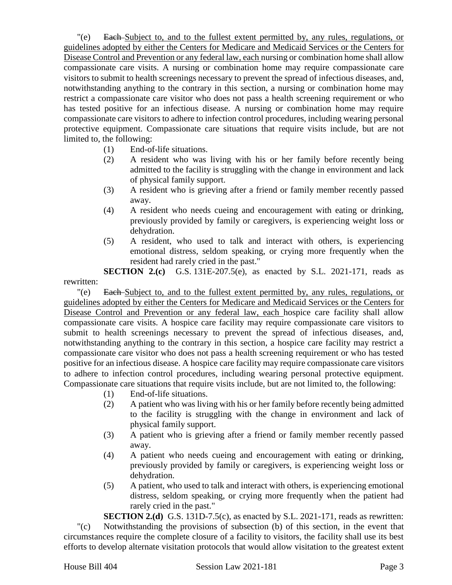"(e) Each Subject to, and to the fullest extent permitted by, any rules, regulations, or guidelines adopted by either the Centers for Medicare and Medicaid Services or the Centers for Disease Control and Prevention or any federal law, each nursing or combination home shall allow compassionate care visits. A nursing or combination home may require compassionate care visitors to submit to health screenings necessary to prevent the spread of infectious diseases, and, notwithstanding anything to the contrary in this section, a nursing or combination home may restrict a compassionate care visitor who does not pass a health screening requirement or who has tested positive for an infectious disease. A nursing or combination home may require compassionate care visitors to adhere to infection control procedures, including wearing personal protective equipment. Compassionate care situations that require visits include, but are not limited to, the following:

- (1) End-of-life situations.
- (2) A resident who was living with his or her family before recently being admitted to the facility is struggling with the change in environment and lack of physical family support.
- (3) A resident who is grieving after a friend or family member recently passed away.
- (4) A resident who needs cueing and encouragement with eating or drinking, previously provided by family or caregivers, is experiencing weight loss or dehydration.
- (5) A resident, who used to talk and interact with others, is experiencing emotional distress, seldom speaking, or crying more frequently when the resident had rarely cried in the past."

**SECTION 2.(c)** G.S. 131E-207.5(e), as enacted by S.L. 2021-171, reads as rewritten:

"(e) Each Subject to, and to the fullest extent permitted by, any rules, regulations, or guidelines adopted by either the Centers for Medicare and Medicaid Services or the Centers for Disease Control and Prevention or any federal law, each hospice care facility shall allow compassionate care visits. A hospice care facility may require compassionate care visitors to submit to health screenings necessary to prevent the spread of infectious diseases, and, notwithstanding anything to the contrary in this section, a hospice care facility may restrict a compassionate care visitor who does not pass a health screening requirement or who has tested positive for an infectious disease. A hospice care facility may require compassionate care visitors to adhere to infection control procedures, including wearing personal protective equipment. Compassionate care situations that require visits include, but are not limited to, the following:

- (1) End-of-life situations.
- (2) A patient who was living with his or her family before recently being admitted to the facility is struggling with the change in environment and lack of physical family support.
- (3) A patient who is grieving after a friend or family member recently passed away.
- (4) A patient who needs cueing and encouragement with eating or drinking, previously provided by family or caregivers, is experiencing weight loss or dehydration.
- (5) A patient, who used to talk and interact with others, is experiencing emotional distress, seldom speaking, or crying more frequently when the patient had rarely cried in the past."

**SECTION 2.(d)** G.S. 131D-7.5(c), as enacted by S.L. 2021-171, reads as rewritten: "(c) Notwithstanding the provisions of subsection (b) of this section, in the event that circumstances require the complete closure of a facility to visitors, the facility shall use its best efforts to develop alternate visitation protocols that would allow visitation to the greatest extent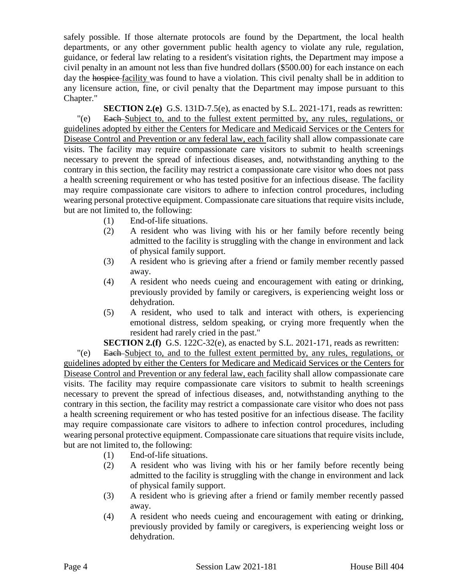safely possible. If those alternate protocols are found by the Department, the local health departments, or any other government public health agency to violate any rule, regulation, guidance, or federal law relating to a resident's visitation rights, the Department may impose a civil penalty in an amount not less than five hundred dollars (\$500.00) for each instance on each day the hospice-facility was found to have a violation. This civil penalty shall be in addition to any licensure action, fine, or civil penalty that the Department may impose pursuant to this Chapter."

**SECTION 2.(e)** G.S. 131D-7.5(e), as enacted by S.L. 2021-171, reads as rewritten: "(e) Each Subject to, and to the fullest extent permitted by, any rules, regulations, or guidelines adopted by either the Centers for Medicare and Medicaid Services or the Centers for Disease Control and Prevention or any federal law, each facility shall allow compassionate care visits. The facility may require compassionate care visitors to submit to health screenings necessary to prevent the spread of infectious diseases, and, notwithstanding anything to the contrary in this section, the facility may restrict a compassionate care visitor who does not pass a health screening requirement or who has tested positive for an infectious disease. The facility may require compassionate care visitors to adhere to infection control procedures, including wearing personal protective equipment. Compassionate care situations that require visits include, but are not limited to, the following:

- (1) End-of-life situations.
- (2) A resident who was living with his or her family before recently being admitted to the facility is struggling with the change in environment and lack of physical family support.
- (3) A resident who is grieving after a friend or family member recently passed away.
- (4) A resident who needs cueing and encouragement with eating or drinking, previously provided by family or caregivers, is experiencing weight loss or dehydration.
- (5) A resident, who used to talk and interact with others, is experiencing emotional distress, seldom speaking, or crying more frequently when the resident had rarely cried in the past."

**SECTION 2.(f)** G.S. 122C-32(e), as enacted by S.L. 2021-171, reads as rewritten:

"(e) Each Subject to, and to the fullest extent permitted by, any rules, regulations, or guidelines adopted by either the Centers for Medicare and Medicaid Services or the Centers for Disease Control and Prevention or any federal law, each facility shall allow compassionate care visits. The facility may require compassionate care visitors to submit to health screenings necessary to prevent the spread of infectious diseases, and, notwithstanding anything to the contrary in this section, the facility may restrict a compassionate care visitor who does not pass a health screening requirement or who has tested positive for an infectious disease. The facility may require compassionate care visitors to adhere to infection control procedures, including wearing personal protective equipment. Compassionate care situations that require visits include, but are not limited to, the following:

- (1) End-of-life situations.
- (2) A resident who was living with his or her family before recently being admitted to the facility is struggling with the change in environment and lack of physical family support.
- (3) A resident who is grieving after a friend or family member recently passed away.
- (4) A resident who needs cueing and encouragement with eating or drinking, previously provided by family or caregivers, is experiencing weight loss or dehydration.